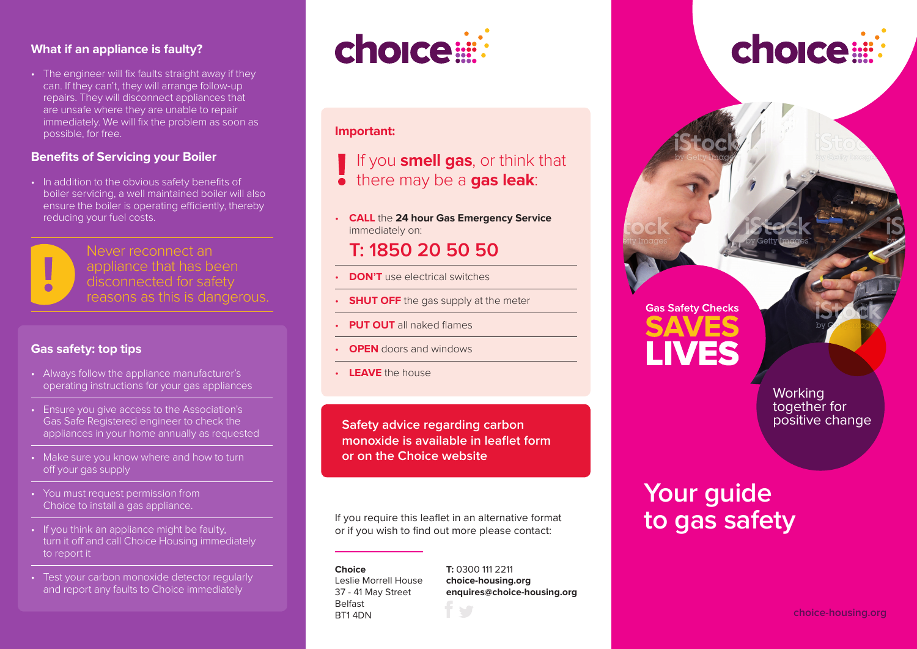#### **What if an appliance is faulty?**

• The engineer will fix faults straight away if they can. If they can't, they will arrange follow-up repairs. They will disconnect appliances that are unsafe where they are unable to repair immediately. We will fix the problem as soon as possible, for free.

#### **Benefits of Servicing your Boiler**

• In addition to the obvious safety benefits of boiler servicing, a well maintained boiler will also ensure the boiler is operating efficiently, thereby reducing your fuel costs.



Never reconnect an appliance that has been disconnected for safety reasons as this is dangerous.

#### **Gas safety: top tips**

- Always follow the appliance manufacturer's operating instructions for your gas appliances
- Ensure you give access to the Association's Gas Safe Registered engineer to check the appliances in your home annually as requested
- Make sure you know where and how to turn off your gas supply
- You must request permission from Choice to install a gas appliance.
- If you think an appliance might be faulty, turn it off and call Choice Housing immediately to report it
- Test your carbon monoxide detector regularly and report any faults to Choice immediately



#### **Important:**

If you **smell gas**, or think that

there may be a **gas leak**:

• **call** the **24 hour Gas Emergency Service** immediately on:

### **T: 1850 20 50 50**

- **DON'T** use electrical switches
- **SHUT OFF** the gas supply at the meter
- **PUT OUT** all naked flames
- **OPEN** doors and windows
- **LEAVE** the house

**Safety advice regarding carbon monoxide is available in leaflet form or on the Choice website** 

If you require this leaflet in an alternative format or if you wish to find out more please contact:

#### **Choice** Leslie Morrell House 37 - 41 May Street Belfast BT1 4DN

#### **T:** 0300 111 2211

**choice-housing.org enquires@choice-housing.org**

# **Gas Safety Checks LIVES**

**Working** together for positive change

choice

# **Your guide to gas safety**